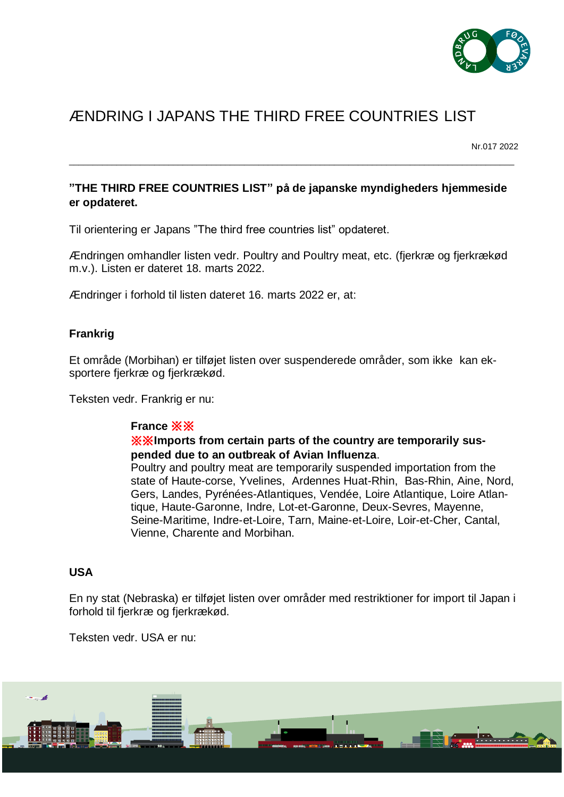

# ÆNDRING I JAPANS THE THIRD FREE COUNTRIES LIST

Nr.017 2022

# **"THE THIRD FREE COUNTRIES LIST" på de japanske myndigheders hjemmeside er opdateret.**

 $\_$  ,  $\_$  ,  $\_$  ,  $\_$  ,  $\_$  ,  $\_$  ,  $\_$  ,  $\_$  ,  $\_$  ,  $\_$  ,  $\_$  ,  $\_$  ,  $\_$  ,  $\_$  ,  $\_$  ,  $\_$  ,  $\_$  ,  $\_$  ,  $\_$  ,  $\_$  ,  $\_$  ,  $\_$  ,  $\_$  ,  $\_$  ,  $\_$  ,  $\_$  ,  $\_$  ,  $\_$  ,  $\_$  ,  $\_$  ,  $\_$  ,  $\_$  ,  $\_$  ,  $\_$  ,  $\_$  ,  $\_$  ,  $\_$  ,

Til orientering er Japans "The third free countries list" opdateret.

Ændringen omhandler listen vedr. Poultry and Poultry meat, etc. (fjerkræ og fjerkrækød m.v.). Listen er dateret 18. marts 2022.

Ændringer i forhold til listen dateret 16. marts 2022 er, at:

## **Frankrig**

Et område (Morbihan) er tilføjet listen over suspenderede områder, som ikke kan eksportere fjerkræ og fjerkrækød.

Teksten vedr. Frankrig er nu:

#### **France** ※※

#### ※※**Imports from certain parts of the country are temporarily suspended due to an outbreak of Avian Influenza**.

Poultry and poultry meat are temporarily suspended importation from the state of Haute-corse, Yvelines, Ardennes Huat-Rhin, Bas-Rhin, Aine, Nord, Gers, Landes, Pyrénées-Atlantiques, Vendée, Loire Atlantique, Loire Atlantique, Haute-Garonne, Indre, Lot-et-Garonne, Deux-Sevres, Mayenne, Seine-Maritime, Indre-et-Loire, Tarn, Maine-et-Loire, Loir-et-Cher, Cantal, Vienne, Charente and Morbihan.

## **USA**

En ny stat (Nebraska) er tilføjet listen over områder med restriktioner for import til Japan i forhold til fjerkræ og fjerkrækød.

Teksten vedr. USA er nu: